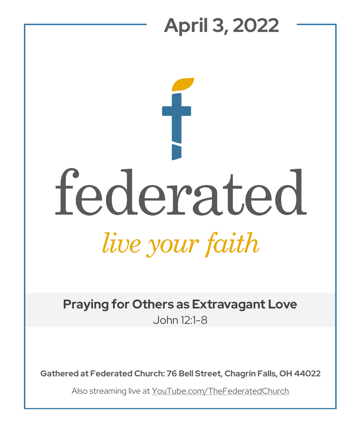## **April 3, 2022**

## federated live your faith

**Praying for Others as Extravagant Love** John 12:1-8

**Gathered at Federated Church: 76 Bell Street, Chagrin Falls, OH 44022**

Also streaming live at YouTube.com/TheFederatedChurch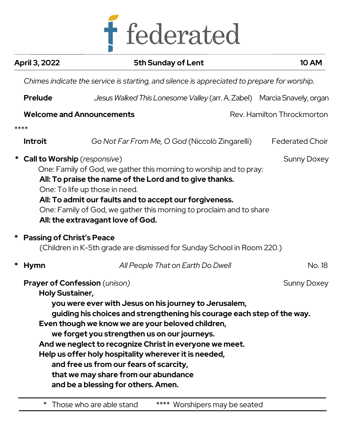

| April 3, 2022                                                                               | <b>5th Sunday of Lent</b>                                                                                                                                                                                                                                                                                                                                                                                                                                                     |  | <b>10 AM</b>               |  |
|---------------------------------------------------------------------------------------------|-------------------------------------------------------------------------------------------------------------------------------------------------------------------------------------------------------------------------------------------------------------------------------------------------------------------------------------------------------------------------------------------------------------------------------------------------------------------------------|--|----------------------------|--|
| Chimes indicate the service is starting, and silence is appreciated to prepare for worship. |                                                                                                                                                                                                                                                                                                                                                                                                                                                                               |  |                            |  |
| <b>Prelude</b>                                                                              | Jesus Walked This Lonesome Valley (arr. A. Zabel) Marcia Snavely, organ                                                                                                                                                                                                                                                                                                                                                                                                       |  |                            |  |
|                                                                                             | <b>Welcome and Announcements</b>                                                                                                                                                                                                                                                                                                                                                                                                                                              |  | Rev. Hamilton Throckmorton |  |
| ****                                                                                        |                                                                                                                                                                                                                                                                                                                                                                                                                                                                               |  |                            |  |
| <b>Introit</b>                                                                              | Go Not Far From Me, O God (Niccolò Zingarelli)                                                                                                                                                                                                                                                                                                                                                                                                                                |  | <b>Federated Choir</b>     |  |
| <b>Call to Worship</b> (responsive)<br>*                                                    | One: Family of God, we gather this morning to worship and to pray:<br>All: To praise the name of the Lord and to give thanks.<br>One: To life up those in need.<br>All: To admit our faults and to accept our forgiveness.<br>One: Family of God, we gather this morning to proclaim and to share<br>All: the extravagant love of God.                                                                                                                                        |  | <b>Sunny Doxey</b>         |  |
| <b>Passing of Christ's Peace</b><br>*                                                       | (Children in K-5th grade are dismissed for Sunday School in Room 220.)                                                                                                                                                                                                                                                                                                                                                                                                        |  |                            |  |
| *<br>Hymn                                                                                   | All People That on Earth Do Dwell                                                                                                                                                                                                                                                                                                                                                                                                                                             |  | No. 18                     |  |
| <b>Holy Sustainer,</b><br>and be a blessing for others. Amen.                               | Prayer of Confession (unison)<br>you were ever with Jesus on his journey to Jerusalem,<br>guiding his choices and strengthening his courage each step of the way.<br>Even though we know we are your beloved children,<br>we forget you strengthen us on our journeys.<br>And we neglect to recognize Christ in everyone we meet.<br>Help us offer holy hospitality wherever it is needed,<br>and free us from our fears of scarcity,<br>that we may share from our abundance |  | <b>Sunny Doxey</b>         |  |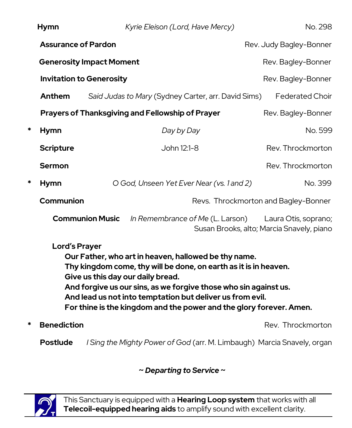|                                                                                                                                                                                                                                                                                                                                                                                               | <b>Hymn</b>                     |                                                   | Kyrie Eleison (Lord, Have Mercy)                        | No. 298                                                           |  |
|-----------------------------------------------------------------------------------------------------------------------------------------------------------------------------------------------------------------------------------------------------------------------------------------------------------------------------------------------------------------------------------------------|---------------------------------|---------------------------------------------------|---------------------------------------------------------|-------------------------------------------------------------------|--|
|                                                                                                                                                                                                                                                                                                                                                                                               | <b>Assurance of Pardon</b>      |                                                   |                                                         | Rev. Judy Bagley-Bonner                                           |  |
|                                                                                                                                                                                                                                                                                                                                                                                               | <b>Generosity Impact Moment</b> |                                                   |                                                         | Rev. Bagley-Bonner                                                |  |
|                                                                                                                                                                                                                                                                                                                                                                                               | <b>Invitation to Generosity</b> |                                                   |                                                         | Rev. Bagley-Bonner                                                |  |
|                                                                                                                                                                                                                                                                                                                                                                                               | Anthem                          |                                                   | Said Judas to Mary (Sydney Carter, arr. David Sims)     | <b>Federated Choir</b>                                            |  |
|                                                                                                                                                                                                                                                                                                                                                                                               |                                 |                                                   | <b>Prayers of Thanksgiving and Fellowship of Prayer</b> | Rev. Bagley-Bonner                                                |  |
| *                                                                                                                                                                                                                                                                                                                                                                                             | <b>Hymn</b>                     |                                                   | Day by Day                                              | No. 599                                                           |  |
|                                                                                                                                                                                                                                                                                                                                                                                               | <b>Scripture</b>                |                                                   | John 12:1-8                                             | Rev. Throckmorton                                                 |  |
|                                                                                                                                                                                                                                                                                                                                                                                               | <b>Sermon</b>                   |                                                   |                                                         | Rev. Throckmorton                                                 |  |
| *                                                                                                                                                                                                                                                                                                                                                                                             | <b>Hymn</b>                     | O God, Unseen Yet Ever Near (vs. 1 and 2)         |                                                         | No. 399                                                           |  |
|                                                                                                                                                                                                                                                                                                                                                                                               |                                 | Communion<br>Revs. Throckmorton and Bagley-Bonner |                                                         |                                                                   |  |
|                                                                                                                                                                                                                                                                                                                                                                                               |                                 | <b>Communion Music</b>                            | In Remembrance of Me (L. Larson)                        | Laura Otis, soprano;<br>Susan Brooks, alto; Marcia Snavely, piano |  |
| <b>Lord's Prayer</b><br>Our Father, who art in heaven, hallowed be thy name.<br>Thy kingdom come, thy will be done, on earth as it is in heaven.<br>Give us this day our daily bread.<br>And forgive us our sins, as we forgive those who sin against us.<br>And lead us not into temptation but deliver us from evil.<br>For thine is the kingdom and the power and the glory forever. Amen. |                                 |                                                   |                                                         |                                                                   |  |

**\* Benediction Example 2018 Rev. Throckmorton** 

 **Postlude** *I Sing the Mighty Power of God* (arr. M. Limbaugh) Marcia Snavely, organ

**~** *Departing to Service* **~**



This Sanctuary is equipped with a **Hearing Loop system** that works with all **Telecoil-equipped hearing aids** to amplify sound with excellent clarity.